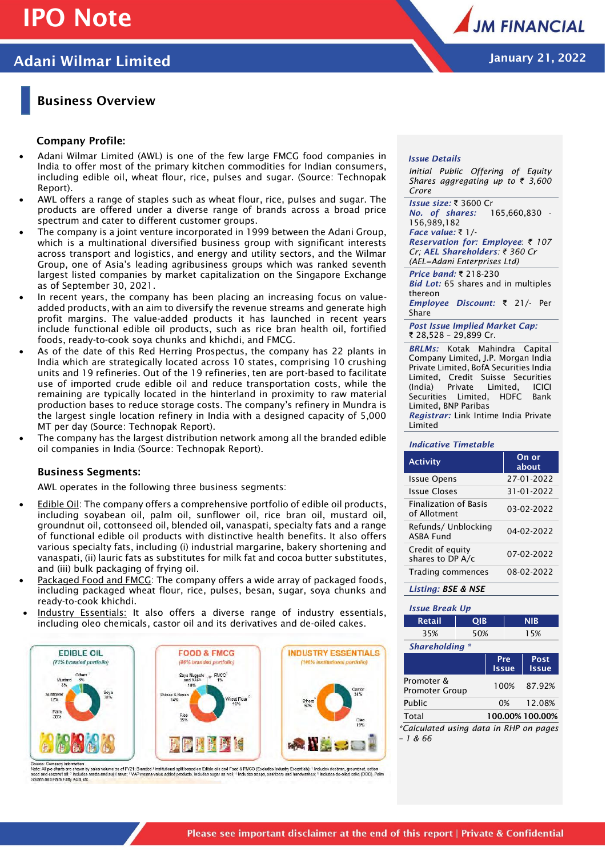# **IPO Note**

# **Adani Wilmar Limited January 21, 2022**

### **Business Overview**

### **Company Profile:**

- Adani Wilmar Limited (AWL) is one of the few large FMCG food companies in India to offer most of the primary kitchen commodities for Indian consumers, including edible oil, wheat flour, rice, pulses and sugar. (Source: Technopak Report).
- AWL offers a range of staples such as wheat flour, rice, pulses and sugar. The products are offered under a diverse range of brands across a broad price spectrum and cater to different customer groups.
- The company is a joint venture incorporated in 1999 between the Adani Group, which is a multinational diversified business group with significant interests across transport and logistics, and energy and utility sectors, and the Wilmar Group, one of Asia's leading agribusiness groups which was ranked seventh largest listed companies by market capitalization on the Singapore Exchange as of September 30, 2021.
- In recent years, the company has been placing an increasing focus on valueadded products, with an aim to diversify the revenue streams and generate high profit margins. The value-added products it has launched in recent years include functional edible oil products, such as rice bran health oil, fortified foods, ready-to-cook soya chunks and khichdi, and FMCG.
- As of the date of this Red Herring Prospectus, the company has 22 plants in India which are strategically located across 10 states, comprising 10 crushing units and 19 refineries. Out of the 19 refineries, ten are port-based to facilitate use of imported crude edible oil and reduce transportation costs, while the remaining are typically located in the hinterland in proximity to raw material production bases to reduce storage costs. The company's refinery in Mundra is the largest single location refinery in India with a designed capacity of 5,000 MT per day (Source: Technopak Report).
- The company has the largest distribution network among all the branded edible oil companies in India (Source: Technopak Report).

#### **Business Segments:**

AWL operates in the following three business segments:

- Edible Oil: The company offers a comprehensive portfolio of edible oil products, including soyabean oil, palm oil, sunflower oil, rice bran oil, mustard oil, groundnut oil, cottonseed oil, blended oil, vanaspati, specialty fats and a range of functional edible oil products with distinctive health benefits. It also offers various specialty fats, including (i) industrial margarine, bakery shortening and vanaspati, (ii) lauric fats as substitutes for milk fat and cocoa butter substitutes, and (iii) bulk packaging of frying oil.
- Packaged Food and FMCG: The company offers a wide array of packaged foods, including packaged wheat flour, rice, pulses, besan, sugar, soya chunks and ready-to-cook khichdi.
- Industry Essentials: It also offers a diverse range of industry essentials, including oleo chemicals, castor oil and its derivatives and de-oiled cakes.



power. Own was the windown<br>Note: All pie charts are shown by sales volume as of FY21; Branded / mshitring all based on Edible oils and Food & FMCG (Excludes Industry Essentials); "Includes ricebran, groundnut, colton<br>see



#### *Issue Details*

*Initial Public Offering of Equity Shares aggregating up to ₹ 3,600 Crore*

*Issue size:* ₹ 3600 Cr *No. of shares:* 165,660,830 - 156,989,182 *Face value:* ₹ 1/- *Reservation for: Employee*: *₹ 107 Cr; AEL Shareholders: ₹ 360 Cr (AEL=Adani Enterprises Ltd)*

*Price band:* ₹ 218-230 *Bid Lot:* 65 shares and in multiples thereon

*Employee Discount:* ₹ 21/- Per Share

*Post Issue Implied Market Cap:* ₹ 28,528 – 29,899 Cr.

*BRLMs:* Kotak Mahindra Capital Company Limited, J.P. Morgan India Private Limited, BofA Securities India Limited, Credit Suisse Securities (India) Private Limited, ICICI Securities Limited, HDFC Bank Limited, BNP Paribas *Registrar:* Link Intime India Private Limited

#### *Indicative Timetable*

| <b>Activity</b>                              | On or<br>about |
|----------------------------------------------|----------------|
| Issue Opens                                  | 27-01-2022     |
| Issue Closes                                 | 31-01-2022     |
| <b>Finalization of Basis</b><br>of Allotment | 03-02-2022     |
| Refunds/Unblocking<br><b>ASBA Fund</b>       | 04-02-2022     |
| Credit of equity<br>shares to DP A/c         | 07-02-2022     |
| Trading commences                            | 08-02-2022     |
| Listina: BSE & NSE                           |                |

#### *Issue Break Up*

| <b>Retail</b>                                   | QIB |                     | <b>NIB</b> |                      |
|-------------------------------------------------|-----|---------------------|------------|----------------------|
| 35%                                             | 50% |                     | 15%        |                      |
| Shareholding *                                  |     |                     |            |                      |
|                                                 |     | Pre<br><b>Issue</b> |            | Post<br><b>Issue</b> |
| Promoter &<br><b>Promoter Group</b>             |     |                     | 100%       | 87.92%               |
| Public                                          |     | 0%                  |            | 12.08%               |
| Total                                           |     |                     |            | 100.00% 100.00%      |
| *Calculated using data in RHP on pages<br>-1866 |     |                     |            |                      |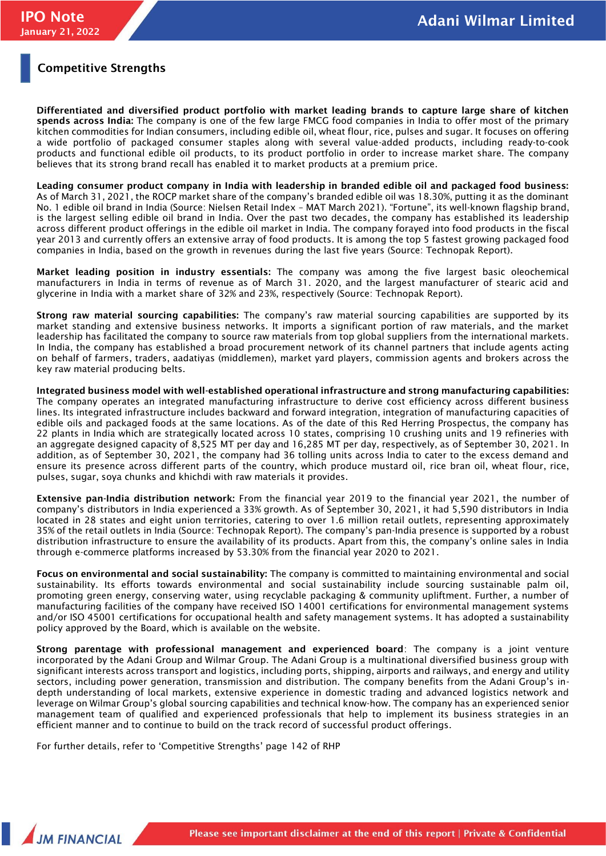### **Competitive Strengths**

**Differentiated and diversified product portfolio with market leading brands to capture large share of kitchen spends across India:** The company is one of the few large FMCG food companies in India to offer most of the primary kitchen commodities for Indian consumers, including edible oil, wheat flour, rice, pulses and sugar. It focuses on offering a wide portfolio of packaged consumer staples along with several value-added products, including ready-to-cook products and functional edible oil products, to its product portfolio in order to increase market share. The company believes that its strong brand recall has enabled it to market products at a premium price.

**Leading consumer product company in India with leadership in branded edible oil and packaged food business:** As of March 31, 2021, the ROCP market share of the company's branded edible oil was 18.30%, putting it as the dominant No. 1 edible oil brand in India (Source: Nielsen Retail Index – MAT March 2021). "Fortune", its well-known flagship brand, is the largest selling edible oil brand in India. Over the past two decades, the company has established its leadership across different product offerings in the edible oil market in India. The company forayed into food products in the fiscal year 2013 and currently offers an extensive array of food products. It is among the top 5 fastest growing packaged food companies in India, based on the growth in revenues during the last five years (Source: Technopak Report).

**Market leading position in industry essentials:** The company was among the five largest basic oleochemical manufacturers in India in terms of revenue as of March 31. 2020, and the largest manufacturer of stearic acid and glycerine in India with a market share of 32% and 23%, respectively (Source: Technopak Report).

**Strong raw material sourcing capabilities:** The company's raw material sourcing capabilities are supported by its market standing and extensive business networks. It imports a significant portion of raw materials, and the market leadership has facilitated the company to source raw materials from top global suppliers from the international markets. In India, the company has established a broad procurement network of its channel partners that include agents acting on behalf of farmers, traders, aadatiyas (middlemen), market yard players, commission agents and brokers across the key raw material producing belts.

**Integrated business model with well-established operational infrastructure and strong manufacturing capabilities:**  The company operates an integrated manufacturing infrastructure to derive cost efficiency across different business lines. Its integrated infrastructure includes backward and forward integration, integration of manufacturing capacities of edible oils and packaged foods at the same locations. As of the date of this Red Herring Prospectus, the company has 22 plants in India which are strategically located across 10 states, comprising 10 crushing units and 19 refineries with an aggregate designed capacity of 8,525 MT per day and 16,285 MT per day, respectively, as of September 30, 2021. In addition, as of September 30, 2021, the company had 36 tolling units across India to cater to the excess demand and ensure its presence across different parts of the country, which produce mustard oil, rice bran oil, wheat flour, rice, pulses, sugar, soya chunks and khichdi with raw materials it provides.

**Extensive pan-India distribution network:** From the financial year 2019 to the financial year 2021, the number of company's distributors in India experienced a 33% growth. As of September 30, 2021, it had 5,590 distributors in India located in 28 states and eight union territories, catering to over 1.6 million retail outlets, representing approximately 35% of the retail outlets in India (Source: Technopak Report). The company's pan-India presence is supported by a robust distribution infrastructure to ensure the availability of its products. Apart from this, the company's online sales in India through e-commerce platforms increased by 53.30% from the financial year 2020 to 2021.

**Focus on environmental and social sustainability:** The company is committed to maintaining environmental and social sustainability. Its efforts towards environmental and social sustainability include sourcing sustainable palm oil, promoting green energy, conserving water, using recyclable packaging & community upliftment. Further, a number of manufacturing facilities of the company have received ISO 14001 certifications for environmental management systems and/or ISO 45001 certifications for occupational health and safety management systems. It has adopted a sustainability policy approved by the Board, which is available on the website.

**Strong parentage with professional management and experienced board**: The company is a joint venture incorporated by the Adani Group and Wilmar Group. The Adani Group is a multinational diversified business group with significant interests across transport and logistics, including ports, shipping, airports and railways, and energy and utility sectors, including power generation, transmission and distribution. The company benefits from the Adani Group's indepth understanding of local markets, extensive experience in domestic trading and advanced logistics network and leverage on Wilmar Group's global sourcing capabilities and technical know-how. The company has an experienced senior management team of qualified and experienced professionals that help to implement its business strategies in an efficient manner and to continue to build on the track record of successful product offerings.

For further details, refer to 'Competitive Strengths' page 142 of RHP

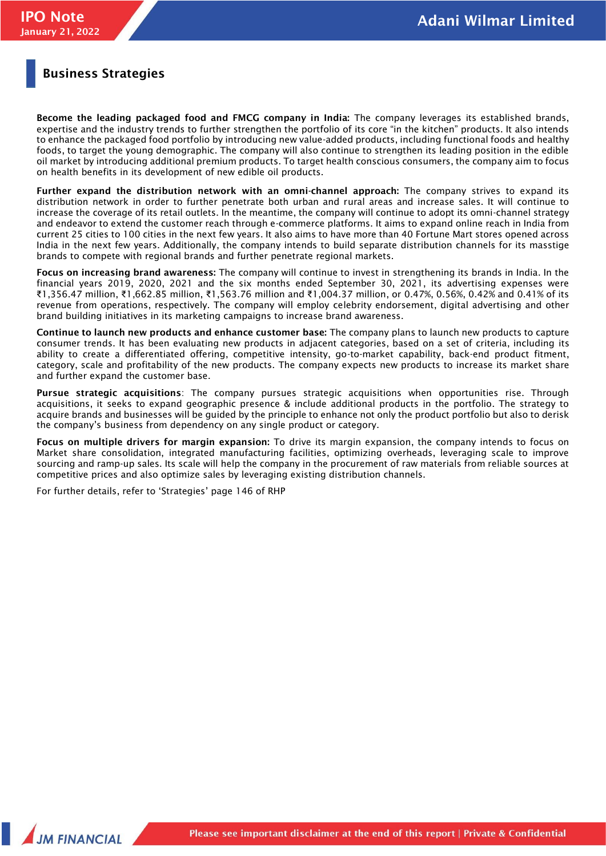### **Business Strategies**

**Become the leading packaged food and FMCG company in India:** The company leverages its established brands, expertise and the industry trends to further strengthen the portfolio of its core "in the kitchen" products. It also intends to enhance the packaged food portfolio by introducing new value-added products, including functional foods and healthy foods, to target the young demographic. The company will also continue to strengthen its leading position in the edible oil market by introducing additional premium products. To target health conscious consumers, the company aim to focus on health benefits in its development of new edible oil products.

**Further expand the distribution network with an omni-channel approach:** The company strives to expand its distribution network in order to further penetrate both urban and rural areas and increase sales. It will continue to increase the coverage of its retail outlets. In the meantime, the company will continue to adopt its omni-channel strategy and endeavor to extend the customer reach through e-commerce platforms. It aims to expand online reach in India from current 25 cities to 100 cities in the next few years. It also aims to have more than 40 Fortune Mart stores opened across India in the next few years. Additionally, the company intends to build separate distribution channels for its masstige brands to compete with regional brands and further penetrate regional markets.

**Focus on increasing brand awareness:** The company will continue to invest in strengthening its brands in India. In the financial years 2019, 2020, 2021 and the six months ended September 30, 2021, its advertising expenses were ₹1,356.47 million, ₹1,662.85 million, ₹1,563.76 million and ₹1,004.37 million, or 0.47%, 0.56%, 0.42% and 0.41% of its revenue from operations, respectively. The company will employ celebrity endorsement, digital advertising and other brand building initiatives in its marketing campaigns to increase brand awareness.

**Continue to launch new products and enhance customer base:** The company plans to launch new products to capture consumer trends. It has been evaluating new products in adjacent categories, based on a set of criteria, including its ability to create a differentiated offering, competitive intensity, go-to-market capability, back-end product fitment, category, scale and profitability of the new products. The company expects new products to increase its market share and further expand the customer base.

**Pursue strategic acquisitions**: The company pursues strategic acquisitions when opportunities rise. Through acquisitions, it seeks to expand geographic presence & include additional products in the portfolio. The strategy to acquire brands and businesses will be guided by the principle to enhance not only the product portfolio but also to derisk the company's business from dependency on any single product or category.

**Focus on multiple drivers for margin expansion:** To drive its margin expansion, the company intends to focus on Market share consolidation, integrated manufacturing facilities, optimizing overheads, leveraging scale to improve sourcing and ramp-up sales. Its scale will help the company in the procurement of raw materials from reliable sources at competitive prices and also optimize sales by leveraging existing distribution channels.

For further details, refer to 'Strategies' page 146 of RHP

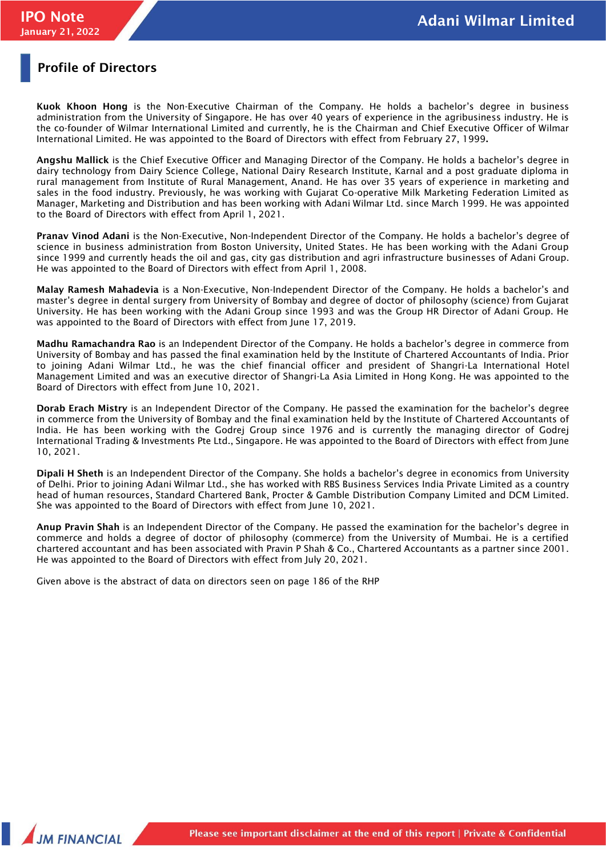### **Profile of Directors**

**Kuok Khoon Hong** is the Non-Executive Chairman of the Company. He holds a bachelor's degree in business administration from the University of Singapore. He has over 40 years of experience in the agribusiness industry. He is the co-founder of Wilmar International Limited and currently, he is the Chairman and Chief Executive Officer of Wilmar International Limited. He was appointed to the Board of Directors with effect from February 27, 1999**.** 

**Angshu Mallick** is the Chief Executive Officer and Managing Director of the Company. He holds a bachelor's degree in dairy technology from Dairy Science College, National Dairy Research Institute, Karnal and a post graduate diploma in rural management from Institute of Rural Management, Anand. He has over 35 years of experience in marketing and sales in the food industry. Previously, he was working with Gujarat Co-operative Milk Marketing Federation Limited as Manager, Marketing and Distribution and has been working with Adani Wilmar Ltd. since March 1999. He was appointed to the Board of Directors with effect from April 1, 2021.

**Pranav Vinod Adani** is the Non-Executive, Non-Independent Director of the Company. He holds a bachelor's degree of science in business administration from Boston University, United States. He has been working with the Adani Group since 1999 and currently heads the oil and gas, city gas distribution and agri infrastructure businesses of Adani Group. He was appointed to the Board of Directors with effect from April 1, 2008.

**Malay Ramesh Mahadevia** is a Non-Executive, Non-Independent Director of the Company. He holds a bachelor's and master's degree in dental surgery from University of Bombay and degree of doctor of philosophy (science) from Gujarat University. He has been working with the Adani Group since 1993 and was the Group HR Director of Adani Group. He was appointed to the Board of Directors with effect from June 17, 2019.

**Madhu Ramachandra Rao** is an Independent Director of the Company. He holds a bachelor's degree in commerce from University of Bombay and has passed the final examination held by the Institute of Chartered Accountants of India. Prior to joining Adani Wilmar Ltd., he was the chief financial officer and president of Shangri-La International Hotel Management Limited and was an executive director of Shangri-La Asia Limited in Hong Kong. He was appointed to the Board of Directors with effect from June 10, 2021.

**Dorab Erach Mistry** is an Independent Director of the Company. He passed the examination for the bachelor's degree in commerce from the University of Bombay and the final examination held by the Institute of Chartered Accountants of India. He has been working with the Godrej Group since 1976 and is currently the managing director of Godrej International Trading & Investments Pte Ltd., Singapore. He was appointed to the Board of Directors with effect from June 10, 2021.

**Dipali H Sheth** is an Independent Director of the Company. She holds a bachelor's degree in economics from University of Delhi. Prior to joining Adani Wilmar Ltd., she has worked with RBS Business Services India Private Limited as a country head of human resources, Standard Chartered Bank, Procter & Gamble Distribution Company Limited and DCM Limited. She was appointed to the Board of Directors with effect from June 10, 2021.

**Anup Pravin Shah** is an Independent Director of the Company. He passed the examination for the bachelor's degree in commerce and holds a degree of doctor of philosophy (commerce) from the University of Mumbai. He is a certified chartered accountant and has been associated with Pravin P Shah & Co., Chartered Accountants as a partner since 2001. He was appointed to the Board of Directors with effect from July 20, 2021.

Given above is the abstract of data on directors seen on page 186 of the RHP

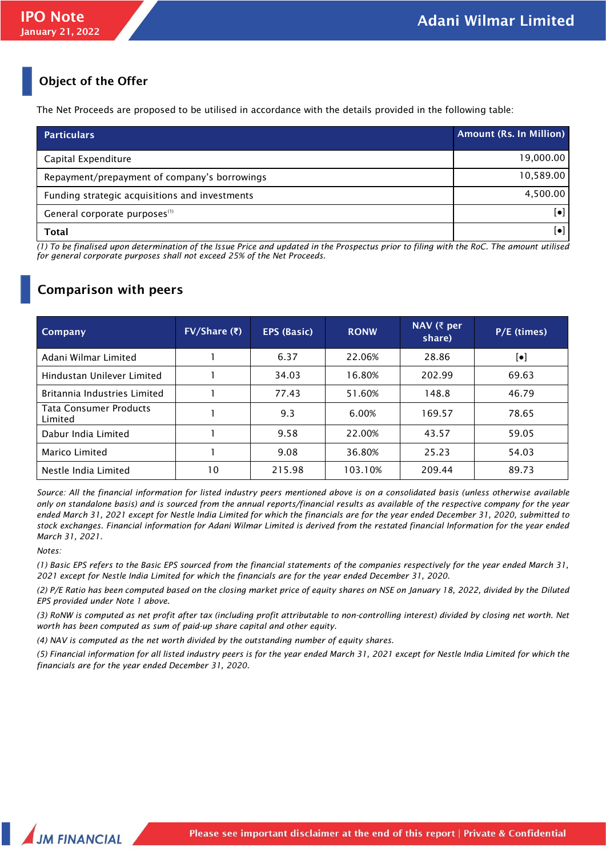## **Object of the Offer**

The Net Proceeds are proposed to be utilised in accordance with the details provided in the following table:

| <b>Particulars</b>                             | <b>Amount (Rs. In Million)</b> |
|------------------------------------------------|--------------------------------|
| Capital Expenditure                            | 19,000.00                      |
| Repayment/prepayment of company's borrowings   | 10,589.00                      |
| Funding strategic acquisitions and investments | 4,500.00                       |
| General corporate purposes <sup>(1)</sup>      | [•]                            |
| Total                                          | $\lceil \bullet \rceil$        |

*(1) To be finalised upon determination of the Issue Price and updated in the Prospectus prior to filing with the RoC. The amount utilised for general corporate purposes shall not exceed 25% of the Net Proceeds.*

## **Comparison with peers**

| Company                                  | $FV/Share$ (₹) | <b>EPS (Basic)</b> | <b>RONW</b> | NAV ( $\bar{\tau}$ per<br>share) | $P/E$ (times)          |
|------------------------------------------|----------------|--------------------|-------------|----------------------------------|------------------------|
| Adani Wilmar Limited                     |                | 6.37               | 22.06%      | 28.86                            | $\left[\bullet\right]$ |
| Hindustan Unilever Limited               |                | 34.03              | 16.80%      | 202.99                           | 69.63                  |
| Britannia Industries Limited             |                | 77.43              | 51.60%      | 148.8                            | 46.79                  |
| <b>Tata Consumer Products</b><br>Limited |                | 9.3                | 6.00%       | 169.57                           | 78.65                  |
| Dabur India Limited                      |                | 9.58               | 22.00%      | 43.57                            | 59.05                  |
| Marico Limited                           |                | 9.08               | 36.80%      | 25.23                            | 54.03                  |
| Nestle India Limited                     | 10             | 215.98             | 103.10%     | 209.44                           | 89.73                  |

*Source: All the financial information for listed industry peers mentioned above is on a consolidated basis (unless otherwise available only on standalone basis) and is sourced from the annual reports/financial results as available of the respective company for the year ended March 31, 2021 except for Nestle India Limited for which the financials are for the year ended December 31, 2020, submitted to stock exchanges. Financial information for Adani Wilmar Limited is derived from the restated financial Information for the year ended March 31, 2021.* 

### *Notes:*

*(1) Basic EPS refers to the Basic EPS sourced from the financial statements of the companies respectively for the year ended March 31, 2021 except for Nestle India Limited for which the financials are for the year ended December 31, 2020.*

*(2) P/E Ratio has been computed based on the closing market price of equity shares on NSE on January 18, 2022, divided by the Diluted EPS provided under Note 1 above.*

*(3) RoNW is computed as net profit after tax (including profit attributable to non-controlling interest) divided by closing net worth. Net worth has been computed as sum of paid-up share capital and other equity.*

*(4) NAV is computed as the net worth divided by the outstanding number of equity shares.*

*(5) Financial information for all listed industry peers is for the year ended March 31, 2021 except for Nestle India Limited for which the financials are for the year ended December 31, 2020.*

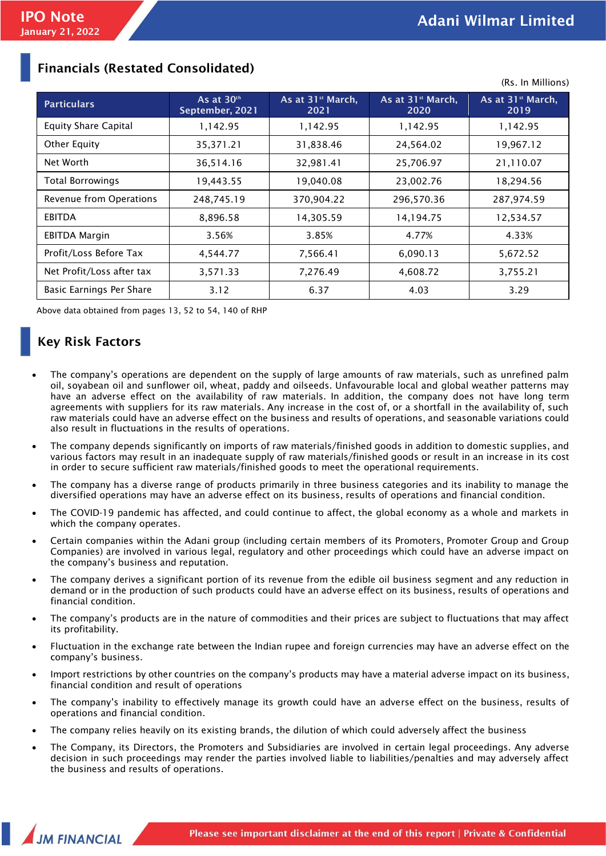(Rs. In Millions)

| <b>Particulars</b>          | As at $30th$<br>September, 2021 | As at 31 <sup>st</sup> March,<br>2021 | As at 31 <sup>st</sup> March,<br>2020 | As at 31 <sup>st</sup> March,<br>2019 |
|-----------------------------|---------------------------------|---------------------------------------|---------------------------------------|---------------------------------------|
| <b>Equity Share Capital</b> | 1,142.95                        | 1,142.95                              | 1,142.95                              | 1,142.95                              |
| Other Equity                | 35, 371. 21                     | 31,838.46                             | 24,564.02                             | 19,967.12                             |
| Net Worth                   | 36,514.16                       | 32,981.41                             | 25,706.97                             | 21,110.07                             |
| <b>Total Borrowings</b>     | 19,443.55                       | 19,040.08                             | 23,002.76                             | 18,294.56                             |
| Revenue from Operations     | 248,745.19                      | 370,904.22                            | 296,570.36                            | 287,974.59                            |
| <b>EBITDA</b>               | 8,896.58                        | 14,305.59                             | 14,194.75                             | 12,534.57                             |
| <b>EBITDA Margin</b>        | 3.56%                           | 3.85%                                 | 4.77%                                 | 4.33%                                 |
| Profit/Loss Before Tax      | 4,544.77                        | 7,566.41                              | 6,090.13                              | 5,672.52                              |
| Net Profit/Loss after tax   | 3,571.33                        | 7,276.49                              | 4,608.72                              | 3,755.21                              |
| Basic Earnings Per Share    | 3.12                            | 6.37                                  | 4.03                                  | 3.29                                  |

### **Financials (Restated Consolidated)**

Above data obtained from pages 13, 52 to 54, 140 of RHP

# **Key Risk Factors**

- The company's operations are dependent on the supply of large amounts of raw materials, such as unrefined palm oil, soyabean oil and sunflower oil, wheat, paddy and oilseeds. Unfavourable local and global weather patterns may have an adverse effect on the availability of raw materials. In addition, the company does not have long term agreements with suppliers for its raw materials. Any increase in the cost of, or a shortfall in the availability of, such raw materials could have an adverse effect on the business and results of operations, and seasonable variations could also result in fluctuations in the results of operations.
- The company depends significantly on imports of raw materials/finished goods in addition to domestic supplies, and various factors may result in an inadequate supply of raw materials/finished goods or result in an increase in its cost in order to secure sufficient raw materials/finished goods to meet the operational requirements.
- The company has a diverse range of products primarily in three business categories and its inability to manage the diversified operations may have an adverse effect on its business, results of operations and financial condition.
- The COVID-19 pandemic has affected, and could continue to affect, the global economy as a whole and markets in which the company operates.
- Certain companies within the Adani group (including certain members of its Promoters, Promoter Group and Group Companies) are involved in various legal, regulatory and other proceedings which could have an adverse impact on the company's business and reputation.
- The company derives a significant portion of its revenue from the edible oil business segment and any reduction in demand or in the production of such products could have an adverse effect on its business, results of operations and financial condition.
- The company's products are in the nature of commodities and their prices are subject to fluctuations that may affect its profitability.
- Fluctuation in the exchange rate between the Indian rupee and foreign currencies may have an adverse effect on the company's business.
- Import restrictions by other countries on the company's products may have a material adverse impact on its business, financial condition and result of operations
- The company's inability to effectively manage its growth could have an adverse effect on the business, results of operations and financial condition.
- The company relies heavily on its existing brands, the dilution of which could adversely affect the business
- The Company, its Directors, the Promoters and Subsidiaries are involved in certain legal proceedings. Any adverse decision in such proceedings may render the parties involved liable to liabilities/penalties and may adversely affect the business and results of operations.

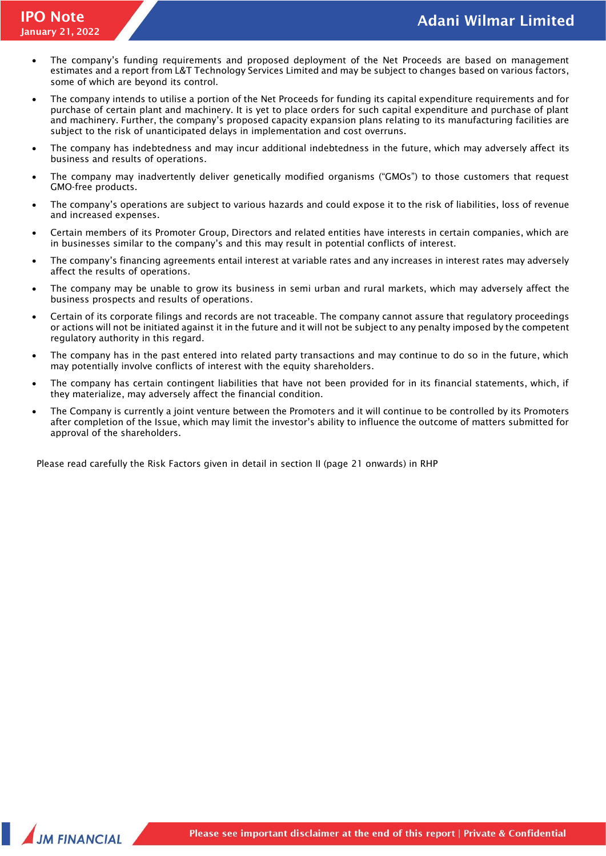- The company's funding requirements and proposed deployment of the Net Proceeds are based on management estimates and a report from L&T Technology Services Limited and may be subject to changes based on various factors, some of which are beyond its control.
- The company intends to utilise a portion of the Net Proceeds for funding its capital expenditure requirements and for purchase of certain plant and machinery. It is yet to place orders for such capital expenditure and purchase of plant and machinery. Further, the company's proposed capacity expansion plans relating to its manufacturing facilities are subject to the risk of unanticipated delays in implementation and cost overruns.
- The company has indebtedness and may incur additional indebtedness in the future, which may adversely affect its business and results of operations.
- The company may inadvertently deliver genetically modified organisms ("GMOs") to those customers that request GMO-free products.
- The company's operations are subject to various hazards and could expose it to the risk of liabilities, loss of revenue and increased expenses.
- Certain members of its Promoter Group, Directors and related entities have interests in certain companies, which are in businesses similar to the company's and this may result in potential conflicts of interest.
- The company's financing agreements entail interest at variable rates and any increases in interest rates may adversely affect the results of operations.
- The company may be unable to grow its business in semi urban and rural markets, which may adversely affect the business prospects and results of operations.
- Certain of its corporate filings and records are not traceable. The company cannot assure that regulatory proceedings or actions will not be initiated against it in the future and it will not be subject to any penalty imposed by the competent regulatory authority in this regard.
- The company has in the past entered into related party transactions and may continue to do so in the future, which may potentially involve conflicts of interest with the equity shareholders.
- The company has certain contingent liabilities that have not been provided for in its financial statements, which, if they materialize, may adversely affect the financial condition.
- The Company is currently a joint venture between the Promoters and it will continue to be controlled by its Promoters after completion of the Issue, which may limit the investor's ability to influence the outcome of matters submitted for approval of the shareholders.

Please read carefully the Risk Factors given in detail in section II (page 21 onwards) in RHP